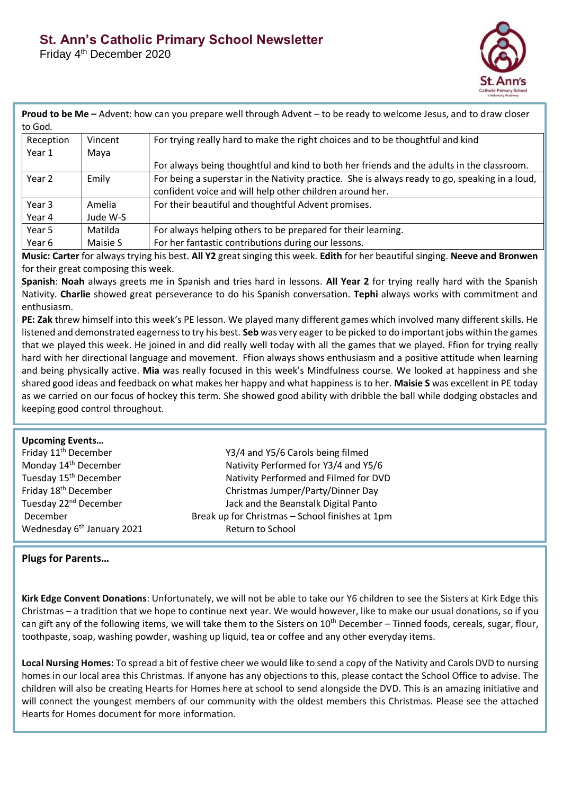Friday 4<sup>th</sup> December 2020



| to God.   |          | <b>Proud to be Me</b> – Advent: how can you prepare well through Advent – to be ready to welcome Jesus, and to draw closer |
|-----------|----------|----------------------------------------------------------------------------------------------------------------------------|
| Reception | Vincent  | For trying really hard to make the right choices and to be thoughtful and kind                                             |
| Year 1    | Maya     |                                                                                                                            |
|           |          | For always being thoughtful and kind to both her friends and the adults in the classroom.                                  |
| Year 2    | Emily    | For being a superstar in the Nativity practice. She is always ready to go, speaking in a loud,                             |
|           |          | confident voice and will help other children around her.                                                                   |
| Year 3    | Amelia   | For their beautiful and thoughtful Advent promises.                                                                        |
| Year 4    | Jude W-S |                                                                                                                            |
| Year 5    | Matilda  | For always helping others to be prepared for their learning.                                                               |
| Year 6    | Maisie S | For her fantastic contributions during our lessons.                                                                        |

**Music: Carter** for always trying his best. **All Y2** great singing this week. **Edith** for her beautiful singing. **Neeve and Bronwen**  for their great composing this week.

**Spanish**: **Noah** always greets me in Spanish and tries hard in lessons. **All Year 2** for trying really hard with the Spanish Nativity. **Charlie** showed great perseverance to do his Spanish conversation. **Tephi** always works with commitment and enthusiasm.

**PE: Zak** threw himself into this week's PE lesson. We played many different games which involved many different skills. He listened and demonstrated eagerness to try his best. **Seb** was very eager to be picked to do important jobs within the games that we played this week. He joined in and did really well today with all the games that we played. Ffion for trying really hard with her directional language and movement. Ffion always shows enthusiasm and a positive attitude when learning and being physically active. **Mia** was really focused in this week's Mindfulness course. We looked at happiness and she shared good ideas and feedback on what makes her happy and what happiness is to her. **Maisie S** was excellent in PE today as we carried on our focus of hockey this term. She showed good ability with dribble the ball while dodging obstacles and keeping good control throughout.

| <b>Upcoming Events</b><br>Friday 11 <sup>th</sup> December<br>Monday 14 <sup>th</sup> December | Y3/4 and Y5/6 Carols being filmed<br>Nativity Performed for Y3/4 and Y5/6               |  |
|------------------------------------------------------------------------------------------------|-----------------------------------------------------------------------------------------|--|
| Tuesday 15 <sup>th</sup> December<br>Friday 18 <sup>th</sup> December                          | Nativity Performed and Filmed for DVD<br>Christmas Jumper/Party/Dinner Day              |  |
| Tuesday 22 <sup>nd</sup> December<br>December                                                  | Jack and the Beanstalk Digital Panto<br>Break up for Christmas - School finishes at 1pm |  |
| Wednesday 6 <sup>th</sup> January 2021                                                         | Return to School                                                                        |  |

## **Plugs for Parents…**

**Kirk Edge Convent Donations**: Unfortunately, we will not be able to take our Y6 children to see the Sisters at Kirk Edge this Christmas – a tradition that we hope to continue next year. We would however, like to make our usual donations, so if you can gift any of the following items, we will take them to the Sisters on 10<sup>th</sup> December – Tinned foods, cereals, sugar, flour, toothpaste, soap, washing powder, washing up liquid, tea or coffee and any other everyday items.

**Local Nursing Homes:** To spread a bit of festive cheer we would like to send a copy of the Nativity and Carols DVD to nursing homes in our local area this Christmas. If anyone has any objections to this, please contact the School Office to advise. The children will also be creating Hearts for Homes here at school to send alongside the DVD. This is an amazing initiative and will connect the youngest members of our community with the oldest members this Christmas. Please see the attached Hearts for Homes document for more information.